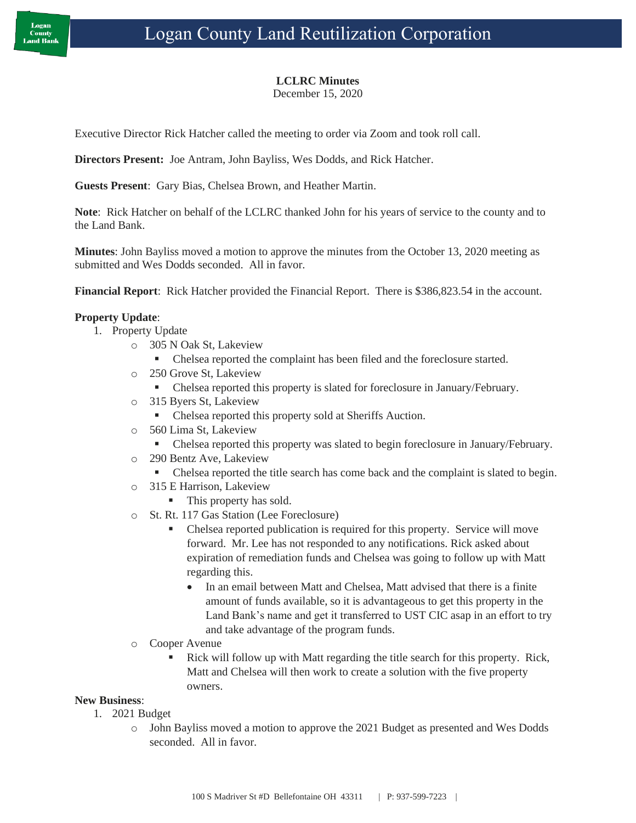## **LCLRC Minutes**

December 15, 2020

Executive Director Rick Hatcher called the meeting to order via Zoom and took roll call.

**Directors Present:** Joe Antram, John Bayliss, Wes Dodds, and Rick Hatcher.

**Guests Present**: Gary Bias, Chelsea Brown, and Heather Martin.

**Note**: Rick Hatcher on behalf of the LCLRC thanked John for his years of service to the county and to the Land Bank.

**Minutes**: John Bayliss moved a motion to approve the minutes from the October 13, 2020 meeting as submitted and Wes Dodds seconded. All in favor.

**Financial Report**: Rick Hatcher provided the Financial Report. There is \$386,823.54 in the account.

## **Property Update**:

- 1. Property Update
	- o 305 N Oak St, Lakeview
		- Chelsea reported the complaint has been filed and the foreclosure started.
	- o 250 Grove St, Lakeview
		- Chelsea reported this property is slated for foreclosure in January/February.
	- o 315 Byers St, Lakeview
		- Chelsea reported this property sold at Sheriffs Auction.
	- o 560 Lima St, Lakeview
		- Chelsea reported this property was slated to begin foreclosure in January/February.
	- o 290 Bentz Ave, Lakeview
		- **•** Chelsea reported the title search has come back and the complaint is slated to begin.
	- o 315 E Harrison, Lakeview
		- This property has sold.
	- o St. Rt. 117 Gas Station (Lee Foreclosure)
		- Chelsea reported publication is required for this property. Service will move forward. Mr. Lee has not responded to any notifications. Rick asked about expiration of remediation funds and Chelsea was going to follow up with Matt regarding this.
			- In an email between Matt and Chelsea, Matt advised that there is a finite amount of funds available, so it is advantageous to get this property in the Land Bank's name and get it transferred to UST CIC asap in an effort to try and take advantage of the program funds.
	- o Cooper Avenue
		- Rick will follow up with Matt regarding the title search for this property. Rick, Matt and Chelsea will then work to create a solution with the five property owners.

## **New Business**:

- 1. 2021 Budget
	- o John Bayliss moved a motion to approve the 2021 Budget as presented and Wes Dodds seconded. All in favor.